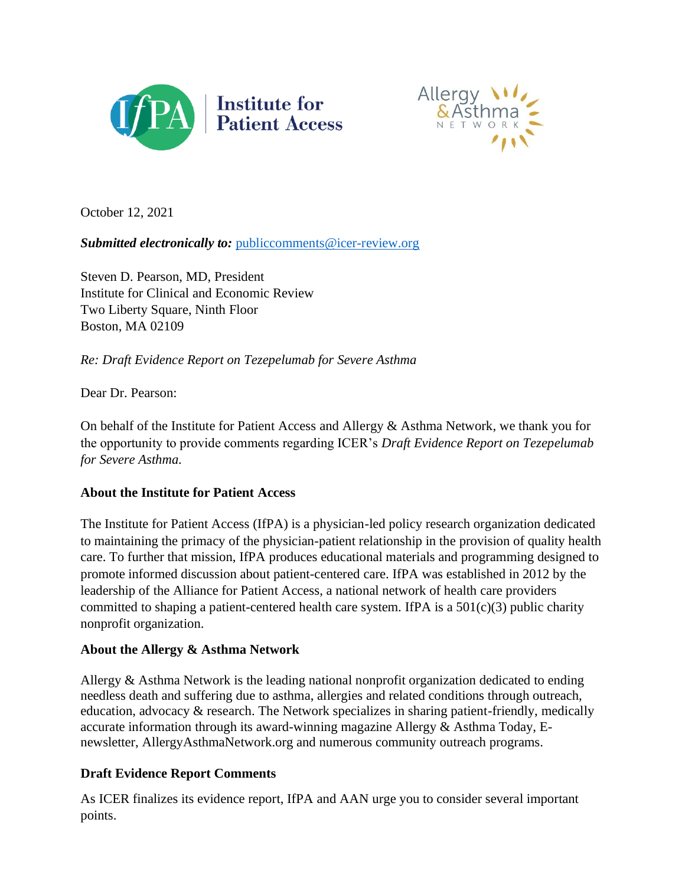



October 12, 2021

### *Submitted electronically to: [publiccomments@icer-review.org](mailto:publiccomments@icer-review.org)*

[Steven D. Pearson, MD, President](https://icer-review.org/people/steven-d-pearson-md-msc-frcp-2/) Institute for Clinical and Economic Review Two Liberty Square, Ninth Floor Boston, MA 02109

*Re: Draft Evidence Report on Tezepelumab for Severe Asthma*

Dear Dr. Pearson:

On behalf of the Institute for Patient Access and Allergy & Asthma Network, we thank you for the opportunity to provide comments regarding ICER's *Draft Evidence Report on Tezepelumab for Severe Asthma.*

#### **About the Institute for Patient Access**

The Institute for Patient Access (IfPA) is a physician-led policy research organization dedicated to maintaining the primacy of the physician-patient relationship in the provision of quality health care. To further that mission, IfPA produces educational materials and programming designed to promote informed discussion about patient-centered care. IfPA was established in 2012 by the leadership of the Alliance for Patient Access, a national network of health care providers committed to shaping a patient-centered health care system. IfPA is a  $501(c)(3)$  public charity nonprofit organization.

#### **About the Allergy & Asthma Network**

Allergy & Asthma Network is the leading national nonprofit organization dedicated to ending needless death and suffering due to asthma, allergies and related conditions through outreach, education, advocacy & research. The Network specializes in sharing patient-friendly, medically accurate information through its award-winning magazine Allergy & Asthma Today, Enewsletter, AllergyAsthmaNetwork.org and numerous community outreach programs.

## **Draft Evidence Report Comments**

As ICER finalizes its evidence report, IfPA and AAN urge you to consider several important points.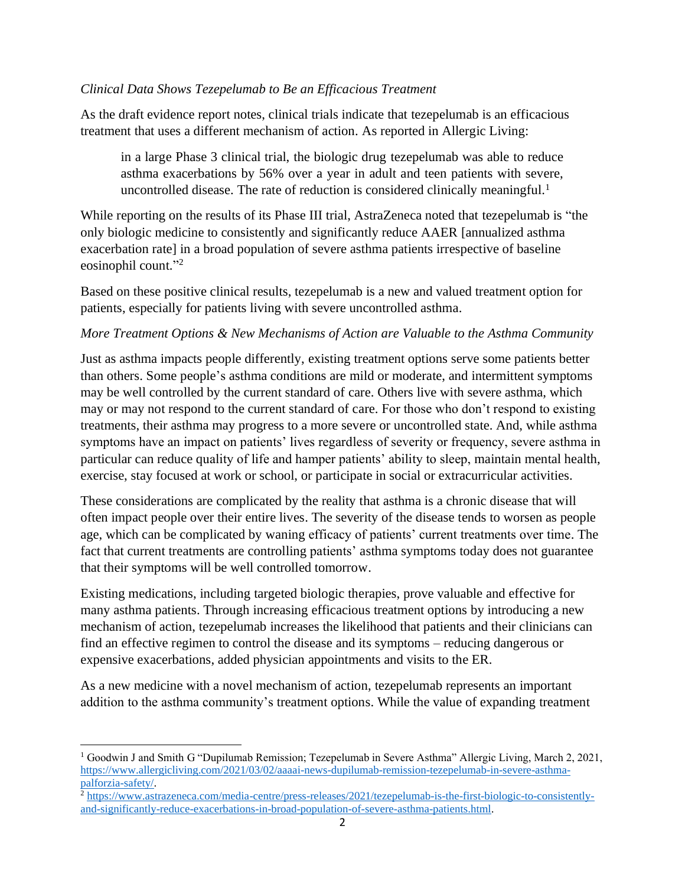#### *Clinical Data Shows Tezepelumab to Be an Efficacious Treatment*

As the draft evidence report notes, clinical trials indicate that tezepelumab is an efficacious treatment that uses a different mechanism of action. As reported in Allergic Living:

in a large Phase 3 clinical trial, the biologic drug tezepelumab was able to reduce asthma exacerbations by 56% over a year in adult and teen patients with severe, uncontrolled disease. The rate of reduction is considered clinically meaningful.<sup>1</sup>

While reporting on the results of its Phase III trial, AstraZeneca noted that tezepelumab is "the only biologic medicine to consistently and significantly reduce AAER [annualized asthma exacerbation rate] in a broad population of severe asthma patients irrespective of baseline eosinophil count."<sup>2</sup>

Based on these positive clinical results, tezepelumab is a new and valued treatment option for patients, especially for patients living with severe uncontrolled asthma.

#### *More Treatment Options & New Mechanisms of Action are Valuable to the Asthma Community*

Just as asthma impacts people differently, existing treatment options serve some patients better than others. Some people's asthma conditions are mild or moderate, and intermittent symptoms may be well controlled by the current standard of care. Others live with severe asthma, which may or may not respond to the current standard of care. For those who don't respond to existing treatments, their asthma may progress to a more severe or uncontrolled state. And, while asthma symptoms have an impact on patients' lives regardless of severity or frequency, severe asthma in particular can reduce quality of life and hamper patients' ability to sleep, maintain mental health, exercise, stay focused at work or school, or participate in social or extracurricular activities.

These considerations are complicated by the reality that asthma is a chronic disease that will often impact people over their entire lives. The severity of the disease tends to worsen as people age, which can be complicated by waning efficacy of patients' current treatments over time. The fact that current treatments are controlling patients' asthma symptoms today does not guarantee that their symptoms will be well controlled tomorrow.

Existing medications, including targeted biologic therapies, prove valuable and effective for many asthma patients. Through increasing efficacious treatment options by introducing a new mechanism of action, tezepelumab increases the likelihood that patients and their clinicians can find an effective regimen to control the disease and its symptoms – reducing dangerous or expensive exacerbations, added physician appointments and visits to the ER.

As a new medicine with a novel mechanism of action, tezepelumab represents an important addition to the asthma community's treatment options. While the value of expanding treatment

<sup>&</sup>lt;sup>1</sup> Goodwin J and Smith G "Dupilumab Remission; Tezepelumab in Severe Asthma" Allergic Living, March 2, 2021, [https://www.allergicliving.com/2021/03/02/aaaai-news-dupilumab-remission-tezepelumab-in-severe-asthma](https://www.allergicliving.com/2021/03/02/aaaai-news-dupilumab-remission-tezepelumab-in-severe-asthma-palforzia-safety/)[palforzia-safety/.](https://www.allergicliving.com/2021/03/02/aaaai-news-dupilumab-remission-tezepelumab-in-severe-asthma-palforzia-safety/)

<sup>&</sup>lt;sup>2</sup> [https://www.astrazeneca.com/media-centre/press-releases/2021/tezepelumab-is-the-first-biologic-to-consistently](https://www.astrazeneca.com/media-centre/press-releases/2021/tezepelumab-is-the-first-biologic-to-consistently-and-significantly-reduce-exacerbations-in-broad-population-of-severe-asthma-patients.html)[and-significantly-reduce-exacerbations-in-broad-population-of-severe-asthma-patients.html.](https://www.astrazeneca.com/media-centre/press-releases/2021/tezepelumab-is-the-first-biologic-to-consistently-and-significantly-reduce-exacerbations-in-broad-population-of-severe-asthma-patients.html)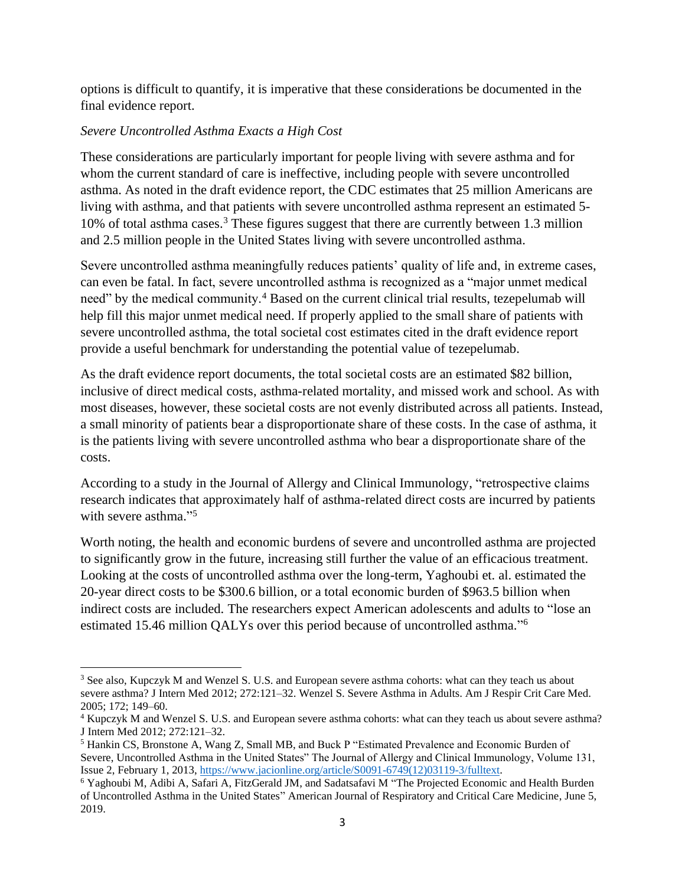options is difficult to quantify, it is imperative that these considerations be documented in the final evidence report.

### *Severe Uncontrolled Asthma Exacts a High Cost*

These considerations are particularly important for people living with severe asthma and for whom the current standard of care is ineffective, including people with severe uncontrolled asthma. As noted in the draft evidence report, the CDC estimates that 25 million Americans are living with asthma, and that patients with severe uncontrolled asthma represent an estimated 5- 10% of total asthma cases.<sup>3</sup> These figures suggest that there are currently between 1.3 million and 2.5 million people in the United States living with severe uncontrolled asthma.

Severe uncontrolled asthma meaningfully reduces patients' quality of life and, in extreme cases, can even be fatal. In fact, severe uncontrolled asthma is recognized as a "major unmet medical need" by the medical community.<sup>4</sup> Based on the current clinical trial results, tezepelumab will help fill this major unmet medical need. If properly applied to the small share of patients with severe uncontrolled asthma, the total societal cost estimates cited in the draft evidence report provide a useful benchmark for understanding the potential value of tezepelumab.

As the draft evidence report documents, the total societal costs are an estimated \$82 billion, inclusive of direct medical costs, asthma-related mortality, and missed work and school. As with most diseases, however, these societal costs are not evenly distributed across all patients. Instead, a small minority of patients bear a disproportionate share of these costs. In the case of asthma, it is the patients living with severe uncontrolled asthma who bear a disproportionate share of the costs.

According to a study in the Journal of Allergy and Clinical Immunology, "retrospective claims research indicates that approximately half of asthma-related direct costs are incurred by patients with severe asthma."<sup>5</sup>

Worth noting, the health and economic burdens of severe and uncontrolled asthma are projected to significantly grow in the future, increasing still further the value of an efficacious treatment. Looking at the costs of uncontrolled asthma over the long-term, Yaghoubi et. al. estimated the 20-year direct costs to be \$300.6 billion, or a total economic burden of \$963.5 billion when indirect costs are included. The researchers expect American adolescents and adults to "lose an estimated 15.46 million QALYs over this period because of uncontrolled asthma." 6

<sup>&</sup>lt;sup>3</sup> See also, Kupczyk M and Wenzel S. U.S. and European severe asthma cohorts: what can they teach us about severe asthma? J Intern Med 2012; 272:121–32. Wenzel S. Severe Asthma in Adults. Am J Respir Crit Care Med. 2005; 172; 149–60.

<sup>4</sup> Kupczyk M and Wenzel S. U.S. and European severe asthma cohorts: what can they teach us about severe asthma? J Intern Med 2012; 272:121–32.

<sup>5</sup> Hankin CS, Bronstone A, Wang Z, Small MB, and Buck P "Estimated Prevalence and Economic Burden of Severe, Uncontrolled Asthma in the United States" The Journal of Allergy and Clinical Immunology, Volume 131, Issue 2, February 1, 2013[, https://www.jacionline.org/article/S0091-6749\(12\)03119-3/fulltext.](https://www.jacionline.org/article/S0091-6749(12)03119-3/fulltext)

<sup>6</sup> Yaghoubi M, Adibi A, Safari A, FitzGerald JM, and Sadatsafavi M "The Projected Economic and Health Burden of Uncontrolled Asthma in the United States" American Journal of Respiratory and Critical Care Medicine, June 5, 2019.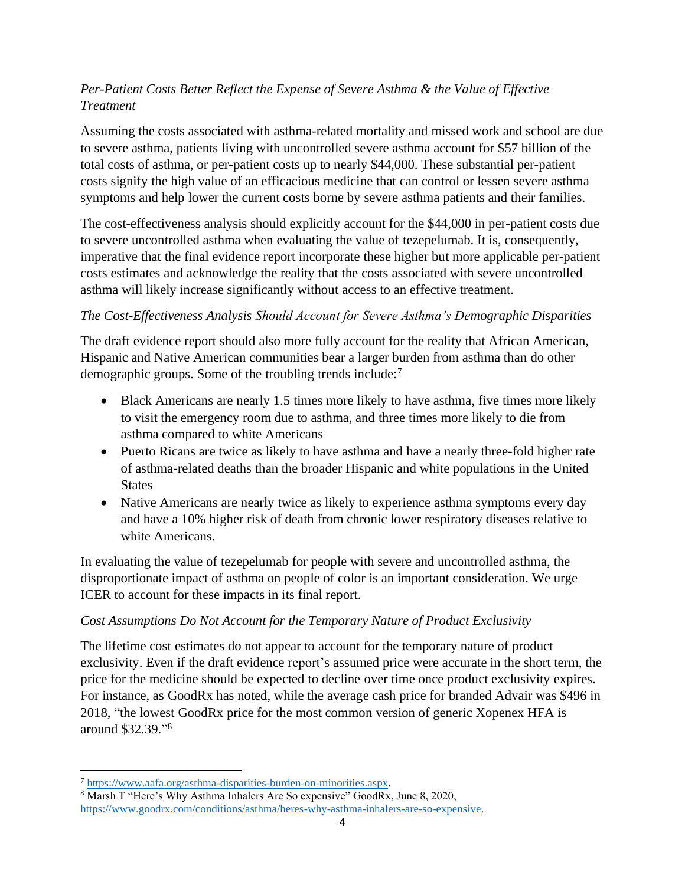# *Per-Patient Costs Better Reflect the Expense of Severe Asthma & the Value of Effective Treatment*

Assuming the costs associated with asthma-related mortality and missed work and school are due to severe asthma, patients living with uncontrolled severe asthma account for \$57 billion of the total costs of asthma, or per-patient costs up to nearly \$44,000. These substantial per-patient costs signify the high value of an efficacious medicine that can control or lessen severe asthma symptoms and help lower the current costs borne by severe asthma patients and their families.

The cost-effectiveness analysis should explicitly account for the \$44,000 in per-patient costs due to severe uncontrolled asthma when evaluating the value of tezepelumab. It is, consequently, imperative that the final evidence report incorporate these higher but more applicable per-patient costs estimates and acknowledge the reality that the costs associated with severe uncontrolled asthma will likely increase significantly without access to an effective treatment.

# *The Cost-Effectiveness Analysis Should Account for Severe Asthma's Demographic Disparities*

The draft evidence report should also more fully account for the reality that African American, Hispanic and Native American communities bear a larger burden from asthma than do other demographic groups. Some of the troubling trends include:<sup>7</sup>

- Black Americans are nearly 1.5 times more likely to have asthma, five times more likely to visit the emergency room due to asthma, and three times more likely to die from asthma compared to white Americans
- Puerto Ricans are twice as likely to have asthma and have a nearly three-fold higher rate of asthma-related deaths than the broader Hispanic and white populations in the United **States**
- Native Americans are nearly twice as likely to experience asthma symptoms every day and have a 10% higher risk of death from chronic lower respiratory diseases relative to white Americans.

In evaluating the value of tezepelumab for people with severe and uncontrolled asthma, the disproportionate impact of asthma on people of color is an important consideration. We urge ICER to account for these impacts in its final report.

## *Cost Assumptions Do Not Account for the Temporary Nature of Product Exclusivity*

The lifetime cost estimates do not appear to account for the temporary nature of product exclusivity. Even if the draft evidence report's assumed price were accurate in the short term, the price for the medicine should be expected to decline over time once product exclusivity expires. For instance, as GoodRx has noted, while the average cash price for branded Advair was \$496 in 2018, "the lowest GoodRx price for the most common version of generic Xopenex HFA is around \$32.39." 8

<sup>7</sup> [https://www.aafa.org/asthma-disparities-burden-on-minorities.aspx.](https://www.aafa.org/asthma-disparities-burden-on-minorities.aspx)

<sup>8</sup> Marsh T "Here's Why Asthma Inhalers Are So expensive" GoodRx, June 8, 2020, [https://www.goodrx.com/conditions/asthma/heres-why-asthma-inhalers-are-so-expensive.](https://www.goodrx.com/conditions/asthma/heres-why-asthma-inhalers-are-so-expensive)